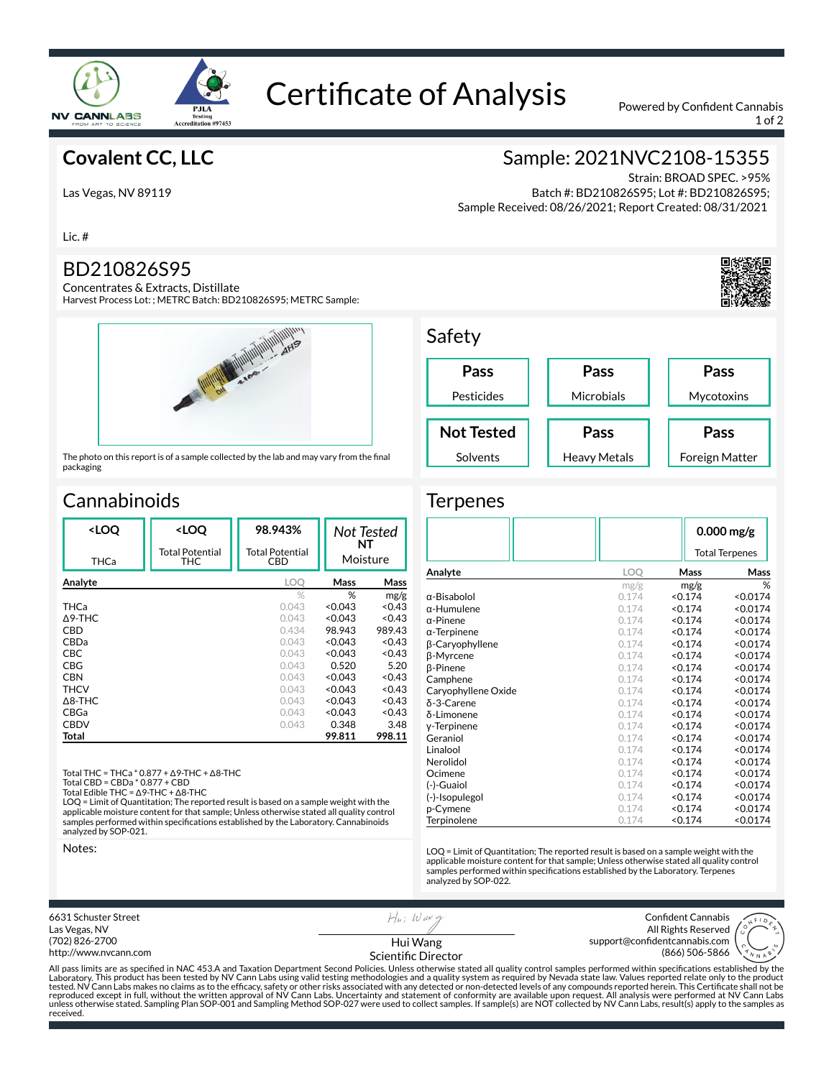

# Certificate of Analysis Powered by Confident Cannabis

1 of 2

Foreign Matter

## **Covalent CC, LLC**

Las Vegas, NV 89119

Lic. #

### BD210826S95

Concentrates & Extracts, Distillate Harvest Process Lot: ; METRC Batch: BD210826S95; METRC Sample:



The photo on this report is of a sample collected by the lab and may vary from the final packaging

## **Cannabinoids**

| <loq< th=""><th><loq< th=""><th>98.943%</th><th>Not Tested</th><th></th></loq<></th></loq<> | <loq< th=""><th>98.943%</th><th>Not Tested</th><th></th></loq<> | 98.943%                       | Not Tested     |        |
|---------------------------------------------------------------------------------------------|-----------------------------------------------------------------|-------------------------------|----------------|--------|
| THCa                                                                                        | <b>Total Potential</b><br>THC                                   | <b>Total Potential</b><br>CBD | NΤ<br>Moisture |        |
| Analyte                                                                                     |                                                                 | LOO                           | Mass           | Mass   |
|                                                                                             |                                                                 | $\%$                          | %              | mg/g   |
| THCa                                                                                        |                                                                 | 0.043                         | < 0.043        | < 0.43 |
| $\Delta$ 9-THC                                                                              |                                                                 | 0.043                         | < 0.043        | < 0.43 |
| CBD                                                                                         |                                                                 | 0.434                         | 98.943         | 989.43 |
| CBDa                                                                                        |                                                                 | 0.043                         | < 0.043        | <0.43  |
| <b>CBC</b>                                                                                  |                                                                 | 0.043                         | < 0.043        | <0.43  |
| CBG                                                                                         |                                                                 | 0.043                         | 0.520          | 5.20   |
| <b>CBN</b>                                                                                  |                                                                 | 0.043                         | < 0.043        | < 0.43 |
| <b>THCV</b>                                                                                 |                                                                 | 0.043                         | < 0.043        | < 0.43 |
| $\Delta$ 8-THC                                                                              |                                                                 | 0.043                         | < 0.043        | < 0.43 |
| CBGa                                                                                        |                                                                 | 0.043                         | < 0.043        | <0.43  |
| <b>CBDV</b>                                                                                 |                                                                 | 0.043                         | 0.348          | 3.48   |
| Total                                                                                       |                                                                 |                               | 99.811         | 998.11 |
|                                                                                             |                                                                 |                               |                |        |

Total THC = THCa \* 0.877 + ∆9-THC + ∆8-THC

Total CBD = CBDa \* 0.877 + CBD

Total Edible THC = ∆9-THC + ∆8-THC LOQ = Limit of Quantitation; The reported result is based on a sample weight with the applicable moisture content for that sample; Unless otherwise stated all quality control samples performed within specifications established by the Laboratory. Cannabinoids analyzed by SOP-021.

Notes:



 Batch #: BD210826S95; Lot #: BD210826S95; Sample Received: 08/26/2021; Report Created: 08/31/2021



Heavy Metals

**Terpenes** 

Solvents

|                     |       | $0.000$ mg/g |                       |  |  |
|---------------------|-------|--------------|-----------------------|--|--|
|                     |       |              | <b>Total Terpenes</b> |  |  |
| Analyte             | LOQ   | Mass         | Mass                  |  |  |
|                     | mg/g  | mg/g         | %                     |  |  |
| α-Bisabolol         | 0.174 | < 0.174      | < 0.0174              |  |  |
| $\alpha$ -Humulene  | 0.174 | < 0.174      | < 0.0174              |  |  |
| $\alpha$ -Pinene    | 0.174 | < 0.174      | < 0.0174              |  |  |
| $\alpha$ -Terpinene | 0.174 | < 0.174      | < 0.0174              |  |  |
| β-Caryophyllene     | 0.174 | < 0.174      | < 0.0174              |  |  |
| β-Myrcene           | 0.174 | < 0.174      | < 0.0174              |  |  |
| <b>B-Pinene</b>     | 0.174 | < 0.174      | < 0.0174              |  |  |
| Camphene            | 0.174 | < 0.174      | < 0.0174              |  |  |
| Caryophyllene Oxide | 0.174 | < 0.174      | < 0.0174              |  |  |
| δ-3-Carene          | 0.174 | < 0.174      | < 0.0174              |  |  |
| δ-Limonene          | 0.174 | < 0.174      | < 0.0174              |  |  |
| y-Terpinene         | 0.174 | < 0.174      | < 0.0174              |  |  |
| Geraniol            | 0.174 | < 0.174      | < 0.0174              |  |  |
| Linalool            | 0.174 | < 0.174      | < 0.0174              |  |  |
| Nerolidol           | 0.174 | < 0.174      | < 0.0174              |  |  |
| Ocimene             | 0.174 | < 0.174      | < 0.0174              |  |  |
| (-)-Guaiol          | 0.174 | < 0.174      | < 0.0174              |  |  |
| (-)-Isopulegol      | 0.174 | < 0.174      | < 0.0174              |  |  |
| p-Cymene            | 0.174 | < 0.174      | < 0.0174              |  |  |
| Terpinolene         | 0.174 | < 0.174      | < 0.0174              |  |  |

LOQ = Limit of Quantitation; The reported result is based on a sample weight with the applicable moisture content for that sample; Unless otherwise stated all quality control<br>samples performed within specifications established by the Laboratory. Terpenes analyzed by SOP-022.

6631 Schuster Street  $H_{\mu\nu}$ ; Waxq Confident Cannabis Las Vegas, NV All Rights Reserved (702) 826-2700 support@confidentcannabis.com Hui Wang (866) 506-5866 http://www.nvcann.com Scientific Director All pass limits are as specified in NAC 453.A and Taxation Department Second Policies. Unless otherwise stated all quality control samples performed within specifications established by the<br>Laboratory. This product has bee

tested. NV Cann Labs makes no claims as to the efficacy, safety or other risks associated with any detected or non-detected levels of any compounds reported herein. This Certificate shall not be<br>reproduced except in full, unless otherwise stated. Sampling Plan SOP-001 and Sampling Method SOP-027 were used to collect samples. If sample(s) are NOT collected by NV Cann Labs, result(s) apply to the samples as received.